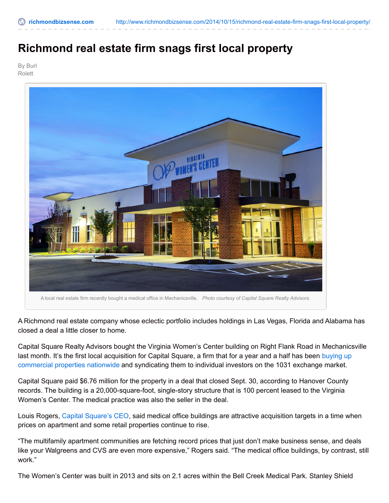## **Richmond real estate firm snags first local property**

By Burl Rolett



A Richmond real estate company whose eclectic portfolio includes holdings in Las Vegas, Florida and Alabama has closed a deal a little closer to home.

Capital Square Realty Advisors bought the Virginia Women's Center building on Right Flank Road in Mechanicsville last month. It's the first local acquisition for Capital Square, a firm that for a year and a half has been buying up [commercial](http://www.richmondbizsense.com/2014/03/25/2014-to-do-list-spend-150-million-on-commercial-properties/) properties nationwide and syndicating them to individual investors on the 1031 exchange market.

Capital Square paid \$6.76 million for the property in a deal that closed Sept. 30, according to Hanover County records. The building is a 20,000-square-foot, single-story structure that is 100 percent leased to the Virginia Women's Center. The medical practice was also the seller in the deal.

Louis Rogers, Capital [Square's](http://www.richmondbizsense.com/2013/03/11/new-1031-exchange-takes-on-the-haystack/) CEO, said medical office buildings are attractive acquisition targets in a time when prices on apartment and some retail properties continue to rise.

"The multifamily apartment communities are fetching record prices that just don't make business sense, and deals like your Walgreens and CVS are even more expensive," Rogers said. "The medical office buildings, by contrast, still work."

The Women's Center was built in 2013 and sits on 2.1 acres within the Bell Creek Medical Park. Stanley Shield